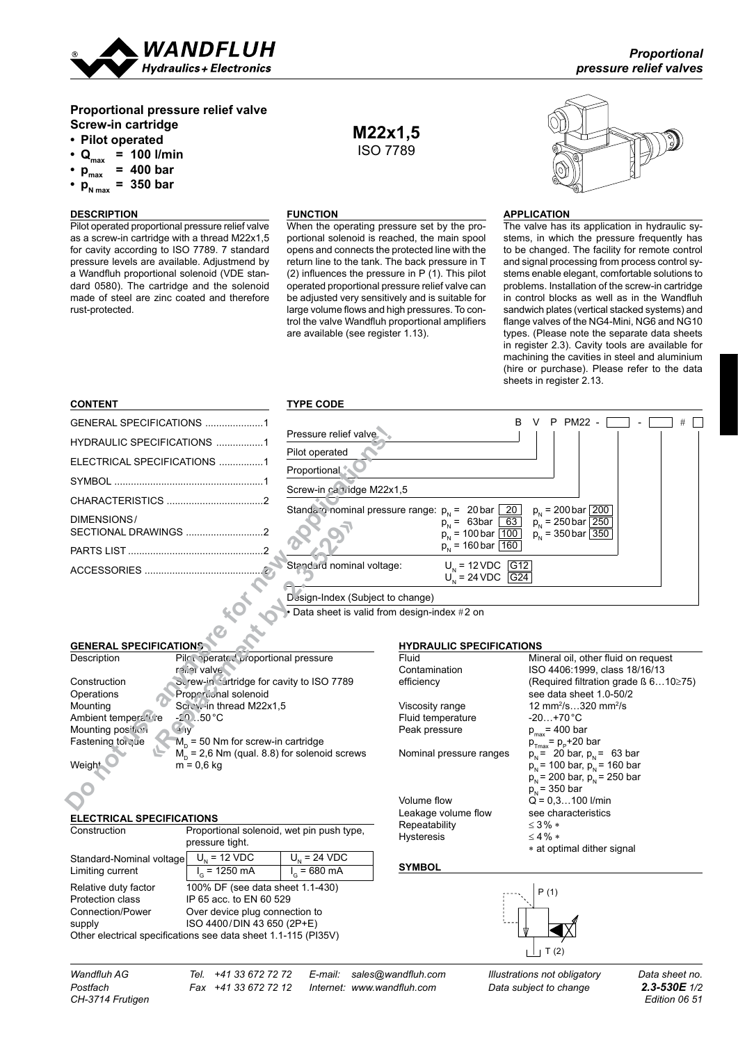

# **Proportional pressure relief valve Screw-in cartridge**

- **• Pilot operated**
- $\cdot$  Q<sub>max</sub> = 100 **l/min**
- $p_{\text{max}}^{\text{max}} = 400 \text{ bar}$
- $p_{N \max}^{\min}$  = 350 **bar**

### **DESCRIPTION**

Pilot operated proportional pressure relief valve as a screw-in cartridge with a thread M22x1,5 for cavity according to ISO 7789. 7 standard pressure levels are available. Adjustmend by a Wandfluh proportional solenoid (VDE standard 0580). The cartridge and the solenoid made of steel are zinc coated and therefore rust-protected.

## **FUNCTION**

When the operating pressure set by the proportional solenoid is reached, the main spool opens and connects the protected line with the return line to the tank. The back pressure in T (2) influences the pressure in P (1). This pilot operated proportional pressure relief valve can be adjusted very sensitively and is suitable for large volume flows and high pressures. To control the valve Wandfluh proportional amplifiers are available (see register 1.13).

**M22x1,5** ISO 7789



#### **application**

The valve has its application in hydraulic systems, in which the pressure frequently has to be changed. The facility for remote control and signal processing from process control systems enable elegant, comfortable solutions to problems. Installation of the screw-in cartridge in control blocks as well as in the Wandfluh sandwich plates (vertical stacked systems) and flange valves of the NG4-Mini, NG6 and NG10 types. (Please note the separate data sheets in register 2.3). Cavity tools are available for machining the cavities in steel and aluminium (hire or purchase). Please refer to the data sheets in register 2.13.

| <b>CONTENT</b>                                                                                 | <b>TYPE CODE</b>          |                                                             |                                                                              |  |
|------------------------------------------------------------------------------------------------|---------------------------|-------------------------------------------------------------|------------------------------------------------------------------------------|--|
| GENERAL SPECIFICATIONS 1                                                                       |                           | R.                                                          | PM22 -<br>v<br>P                                                             |  |
| HYDRAULIC SPECIFICATIONS 1                                                                     | Pressure relief valve     |                                                             |                                                                              |  |
| ELECTRICAL SPECIFICATIONS 1                                                                    | Pilot operated            |                                                             |                                                                              |  |
|                                                                                                | Proportional              |                                                             |                                                                              |  |
|                                                                                                | Screw-in ca tidge M22x1,5 |                                                             |                                                                              |  |
| DIMENSIONS/                                                                                    |                           | Standaro nominal pressure range: $p_N = 20 \text{ bar } 20$ | $p_{N}$ = 200 bar 200                                                        |  |
|                                                                                                |                           | $p_{N} = 63bar \ 63$<br>$p_{N}$ = 100 bar $\boxed{100}$     | $p_{N}$ = 250 bar 250<br>$p_{N}$ = 350 bar 350                               |  |
|                                                                                                |                           | $p_{N}$ = 160 bar $\boxed{160}$                             |                                                                              |  |
|                                                                                                | Standurd nominal voltage: | $U_{N}$ = 12 VDC G12                                        |                                                                              |  |
|                                                                                                |                           | $U_{N} = 24 \text{ VDC}$ G24                                |                                                                              |  |
| Design-Index (Subject to change)                                                               |                           |                                                             |                                                                              |  |
| Data sheet is valid from design-index #2 on                                                    |                           |                                                             |                                                                              |  |
|                                                                                                |                           |                                                             |                                                                              |  |
| <b>GENERAL SPECIFICATIONS</b>                                                                  |                           | <b>HYDRAULIC SPECIFICATIONS</b>                             |                                                                              |  |
| Pilcoperated proportional pressure<br>Description                                              |                           | Fluid                                                       | Mineral oil, other fluid on request                                          |  |
| rener valve                                                                                    |                           | Contamination                                               | ISO 4406:1999, class 18/16/13                                                |  |
| Screw-in cartridge for cavity to ISO 7789<br>Construction                                      |                           | efficiency                                                  | (Required filtration grade $\beta$ 610 $\geq$ 75)<br>see data sheet 1.0-50/2 |  |
| Propertional solenoid<br>Operations                                                            |                           |                                                             | 12 mm <sup>2</sup> /s320 mm <sup>2</sup> /s                                  |  |
| Screw-in thread M22x1,5<br>Mounting                                                            |                           | Viscosity range<br>Fluid temperature                        | $-20+70$ °C                                                                  |  |
| $-20.50^{\circ}$ C<br>Ambient temperatore                                                      |                           | Peak pressure                                               |                                                                              |  |
| Mounting position<br>$4^{\circ}$ IV<br>$Mn$ = 50 Nm for screw-in cartridge<br>Fastening to cue |                           |                                                             | $p_{max}$ = 400 bar                                                          |  |
| $M_p$ = 2,6 Nm (qual. 8.8) for solenoid screws                                                 |                           | Nominal pressure ranges                                     | $p_{Tmax} = p_{P} + 20$ bar                                                  |  |
| $m = 0.6$ kg<br>Weigh <sup>+</sup>                                                             |                           |                                                             | $p_{N}$ = 20 bar, $p_{N}$ = 63 bar<br>$p_{N}$ = 100 bar, $p_{N}$ = 160 bar   |  |
|                                                                                                |                           |                                                             | $p_{N}$ = 200 bar, $p_{N}$ = 250 bar                                         |  |
|                                                                                                |                           |                                                             | $p_{N}$ = 350 bar                                                            |  |
|                                                                                                |                           | Volume flow                                                 | $Q = 0.3100$ I/min                                                           |  |
|                                                                                                |                           | the allegation and complete                                 | the contractor of the state of the fill                                      |  |

#### Data sheet is valid from design-index  $\#2$  on

# **GENERAL SPECIFICATIONS**

#### **ELECTRICAL SPECIFICATIONS**

| Construction                                                   | Proportional solenoid, wet pin push type,<br>pressure tight. |                  |  |  |
|----------------------------------------------------------------|--------------------------------------------------------------|------------------|--|--|
| Standard-Nominal voltage                                       | $U_{N}$ = 12 VDC                                             | $U_{N}$ = 24 VDC |  |  |
| Limiting current                                               | $I_c = 1250$ mA                                              | $I_c = 680$ mA   |  |  |
| Relative duty factor                                           | 100% DF (see data sheet 1.1-430)                             |                  |  |  |
| Protection class                                               | IP 65 acc. to EN 60 529                                      |                  |  |  |
| Connection/Power                                               | Over device plug connection to                               |                  |  |  |
| supply                                                         | ISO 4400/DIN 43 650 (2P+E)                                   |                  |  |  |
| Other electrical specifications see data sheet 1.1-115 (PI35V) |                                                              |                  |  |  |

# **HYDRAULIC SPECIFICATIONS**

| Fluid                   | Mineral oil, other fluid on request              |
|-------------------------|--------------------------------------------------|
| Contamination           | ISO 4406:1999, class 18/16/13                    |
| efficiency              | (Required filtration grade $\beta$ 610 $\ge$ 75) |
|                         | see data sheet 1.0-50/2                          |
| Viscosity range         | 12 mm <sup>2</sup> /s320 mm <sup>2</sup> /s      |
| Fluid temperature       | $-20+70°C$                                       |
| Peak pressure           | $p_{\text{max}}$ = 400 bar                       |
|                         | $p_{\text{max}} = p_{\text{p}} + 20$ bar         |
| Nominal pressure ranges | $p_{N}$ = 20 bar, $p_{N}$ = 63 bar               |
|                         | $p_{N}$ = 100 bar, $p_{N}$ = 160 bar             |
|                         | $p_{N}$ = 200 bar, $p_{N}$ = 250 bar             |
|                         | $p_{\rm h}$ = 350 bar                            |
| Volume flow             | $Q = 0.3100$ I/min                               |
| Leakage volume flow     | see characteristics                              |
| Repeatability           | $<$ 3% $*$                                       |
| Hysteresis              | $<$ 4 % $*$                                      |
|                         | * at optimal dither signal                       |
|                         |                                                  |

### **symbol**



*CH-3714 Frutigen Edition 06 51*

*Wandfluh AG Tel. +41 33 672 72 72 E-mail: sales@wandfluh.com Illustrations not obligatory Data sheet no.*